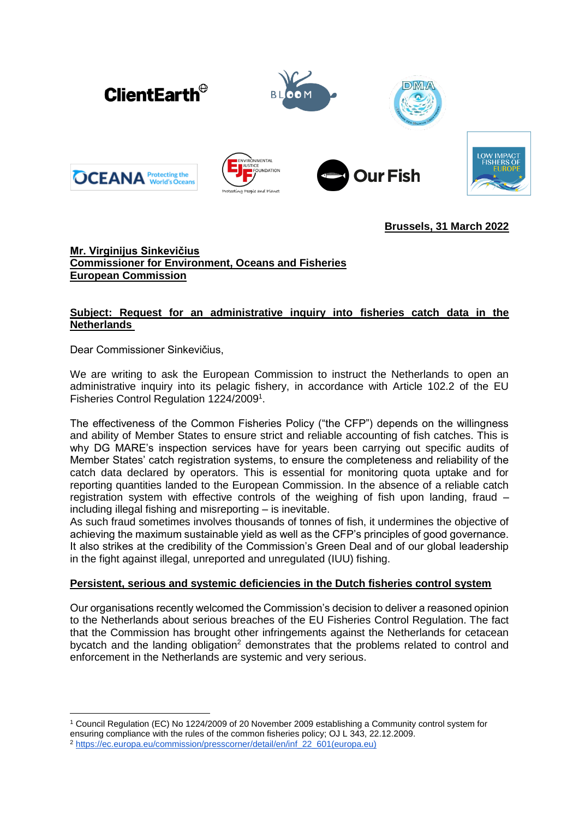

# **Brussels, 31 March 2022**

# **Mr. Virginijus Sinkevičius Commissioner for Environment, Oceans and Fisheries European Commission**

# **Subject: Request for an administrative inquiry into fisheries catch data in the Netherlands**

Dear Commissioner Sinkevičius,

We are writing to ask the European Commission to instruct the Netherlands to open an administrative inquiry into its pelagic fishery, in accordance with Article 102.2 of the EU Fisheries Control Regulation 1224/2009<sup>1</sup>.

The effectiveness of the Common Fisheries Policy ("the CFP") depends on the willingness and ability of Member States to ensure strict and reliable accounting of fish catches. This is why DG MARE's inspection services have for years been carrying out specific audits of Member States' catch registration systems, to ensure the completeness and reliability of the catch data declared by operators. This is essential for monitoring quota uptake and for reporting quantities landed to the European Commission. In the absence of a reliable catch registration system with effective controls of the weighing of fish upon landing, fraud – including illegal fishing and misreporting – is inevitable.

As such fraud sometimes involves thousands of tonnes of fish, it undermines the objective of achieving the maximum sustainable yield as well as the CFP's principles of good governance. It also strikes at the credibility of the Commission's Green Deal and of our global leadership in the fight against illegal, unreported and unregulated (IUU) fishing.

## **Persistent, serious and systemic deficiencies in the Dutch fisheries control system**

Our organisations recently welcomed the Commission's decision to deliver a reasoned opinion to the Netherlands about serious breaches of the EU Fisheries Control Regulation. The fact that the Commission has brought other infringements against the Netherlands for cetacean bycatch and the landing obligation<sup>2</sup> demonstrates that the problems related to control and enforcement in the Netherlands are systemic and very serious.

<sup>1</sup> Council Regulation (EC) No 1224/2009 of 20 November 2009 establishing a Community control system for ensuring compliance with the rules of the common fisheries policy; OJ L 343, 22.12.2009. <sup>2</sup> [https://ec.europa.eu/commission/presscorner/detail/en/inf\\_22\\_601\(europa.eu\)](https://ec.europa.eu/commission/presscorner/detail/en/inf_22_601)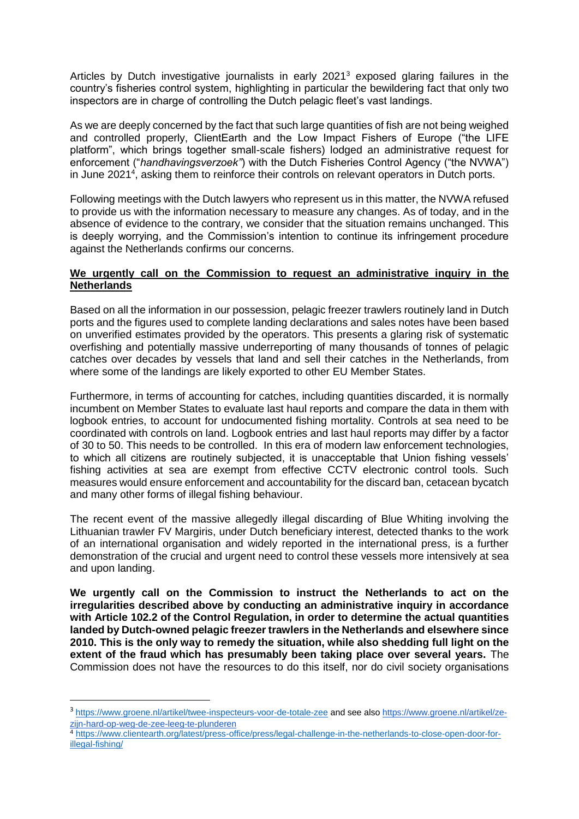Articles by Dutch investigative journalists in early 2021<sup>3</sup> exposed glaring failures in the country's fisheries control system, highlighting in particular the bewildering fact that only two inspectors are in charge of controlling the Dutch pelagic fleet's vast landings.

As we are deeply concerned by the fact that such large quantities of fish are not being weighed and controlled properly, ClientEarth and the Low Impact Fishers of Europe ("the LIFE platform", which brings together small-scale fishers) lodged an administrative request for enforcement ("*handhavingsverzoek"*) with the Dutch Fisheries Control Agency ("the NVWA") in June 2021<sup>4</sup>, asking them to reinforce their controls on relevant operators in Dutch ports.

Following meetings with the Dutch lawyers who represent us in this matter, the NVWA refused to provide us with the information necessary to measure any changes. As of today, and in the absence of evidence to the contrary, we consider that the situation remains unchanged. This is deeply worrying, and the Commission's intention to continue its infringement procedure against the Netherlands confirms our concerns.

### **We urgently call on the Commission to request an administrative inquiry in the Netherlands**

Based on all the information in our possession, pelagic freezer trawlers routinely land in Dutch ports and the figures used to complete landing declarations and sales notes have been based on unverified estimates provided by the operators. This presents a glaring risk of systematic overfishing and potentially massive underreporting of many thousands of tonnes of pelagic catches over decades by vessels that land and sell their catches in the Netherlands, from where some of the landings are likely exported to other EU Member States.

Furthermore, in terms of accounting for catches, including quantities discarded, it is normally incumbent on Member States to evaluate last haul reports and compare the data in them with logbook entries, to account for undocumented fishing mortality. Controls at sea need to be coordinated with controls on land. Logbook entries and last haul reports may differ by a factor of 30 to 50. This needs to be controlled. In this era of modern law enforcement technologies, to which all citizens are routinely subjected, it is unacceptable that Union fishing vessels' fishing activities at sea are exempt from effective CCTV electronic control tools. Such measures would ensure enforcement and accountability for the discard ban, cetacean bycatch and many other forms of illegal fishing behaviour.

The recent event of the massive allegedly illegal discarding of Blue Whiting involving the Lithuanian trawler FV Margiris, under Dutch beneficiary interest, detected thanks to the work of an international organisation and widely reported in the international press, is a further demonstration of the crucial and urgent need to control these vessels more intensively at sea and upon landing.

**We urgently call on the Commission to instruct the Netherlands to act on the irregularities described above by conducting an administrative inquiry in accordance with Article 102.2 of the Control Regulation, in order to determine the actual quantities landed by Dutch-owned pelagic freezer trawlers in the Netherlands and elsewhere since 2010. This is the only way to remedy the situation, while also shedding full light on the extent of the fraud which has presumably been taking place over several years.** The Commission does not have the resources to do this itself, nor do civil society organisations

<sup>&</sup>lt;sup>3</sup> <https://www.groene.nl/artikel/twee-inspecteurs-voor-de-totale-zee> and see also [https://www.groene.nl/artikel/ze](https://www.groene.nl/artikel/ze-zijn-hard-op-weg-de-zee-leeg-te-plunderen)[zijn-hard-op-weg-de-zee-leeg-te-plunderen](https://www.groene.nl/artikel/ze-zijn-hard-op-weg-de-zee-leeg-te-plunderen)

<sup>4</sup> [https://www.clientearth.org/latest/press-office/press/legal-challenge-in-the-netherlands-to-close-open-door-for](https://www.clientearth.org/latest/press-office/press/legal-challenge-in-the-netherlands-to-close-open-door-for-illegal-fishing/)[illegal-fishing/](https://www.clientearth.org/latest/press-office/press/legal-challenge-in-the-netherlands-to-close-open-door-for-illegal-fishing/)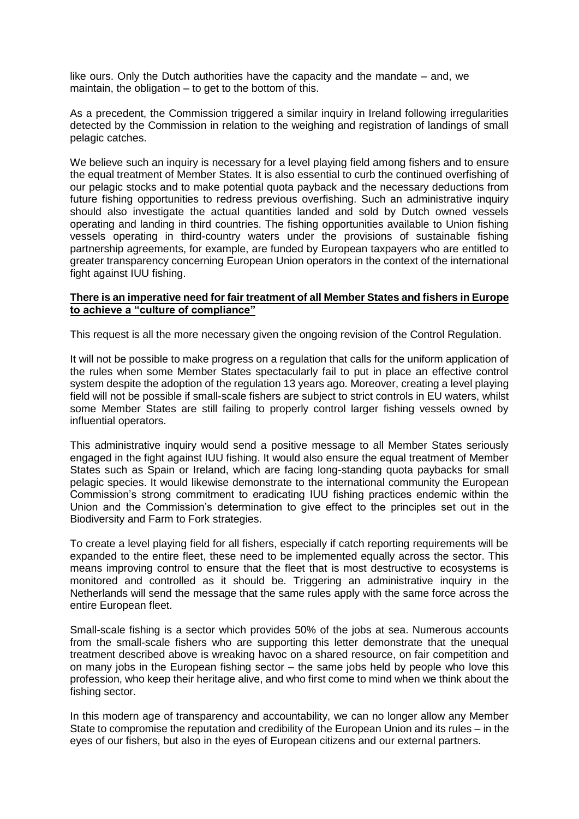like ours. Only the Dutch authorities have the capacity and the mandate – and, we maintain, the obligation – to get to the bottom of this.

As a precedent, the Commission triggered a similar inquiry in Ireland following irregularities detected by the Commission in relation to the weighing and registration of landings of small pelagic catches.

We believe such an inquiry is necessary for a level playing field among fishers and to ensure the equal treatment of Member States. It is also essential to curb the continued overfishing of our pelagic stocks and to make potential quota payback and the necessary deductions from future fishing opportunities to redress previous overfishing. Such an administrative inquiry should also investigate the actual quantities landed and sold by Dutch owned vessels operating and landing in third countries. The fishing opportunities available to Union fishing vessels operating in third-country waters under the provisions of sustainable fishing partnership agreements, for example, are funded by European taxpayers who are entitled to greater transparency concerning European Union operators in the context of the international fight against IUU fishing.

#### **There is an imperative need for fair treatment of all Member States and fishers in Europe to achieve a "culture of compliance"**

This request is all the more necessary given the ongoing revision of the Control Regulation.

It will not be possible to make progress on a regulation that calls for the uniform application of the rules when some Member States spectacularly fail to put in place an effective control system despite the adoption of the regulation 13 years ago. Moreover, creating a level playing field will not be possible if small-scale fishers are subject to strict controls in EU waters, whilst some Member States are still failing to properly control larger fishing vessels owned by influential operators.

This administrative inquiry would send a positive message to all Member States seriously engaged in the fight against IUU fishing. It would also ensure the equal treatment of Member States such as Spain or Ireland, which are facing long-standing quota paybacks for small pelagic species. It would likewise demonstrate to the international community the European Commission's strong commitment to eradicating IUU fishing practices endemic within the Union and the Commission's determination to give effect to the principles set out in the Biodiversity and Farm to Fork strategies.

To create a level playing field for all fishers, especially if catch reporting requirements will be expanded to the entire fleet, these need to be implemented equally across the sector. This means improving control to ensure that the fleet that is most destructive to ecosystems is monitored and controlled as it should be. Triggering an administrative inquiry in the Netherlands will send the message that the same rules apply with the same force across the entire European fleet.

Small-scale fishing is a sector which provides 50% of the jobs at sea. Numerous accounts from the small-scale fishers who are supporting this letter demonstrate that the unequal treatment described above is wreaking havoc on a shared resource, on fair competition and on many jobs in the European fishing sector – the same jobs held by people who love this profession, who keep their heritage alive, and who first come to mind when we think about the fishing sector.

In this modern age of transparency and accountability, we can no longer allow any Member State to compromise the reputation and credibility of the European Union and its rules – in the eyes of our fishers, but also in the eyes of European citizens and our external partners.